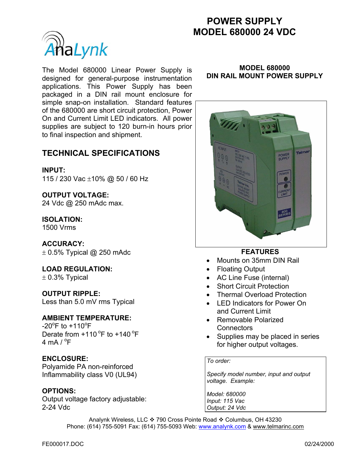# **POWER SUPPLY MODEL 680000 24 VDC**



The Model 680000 Linear Power Supply is designed for general-purpose instrumentation applications. This Power Supply has been packaged in a DIN rail mount enclosure for simple snap-on installation. Standard features of the 680000 are short circuit protection, Power On and Current Limit LED indicators. All power supplies are subject to 120 burn-in hours prior to final inspection and shipment.

### **TECHNICAL SPECIFICATIONS**

#### **INPUT:**

115 / 230 Vac ±10% @ 50 / 60 Hz

## **OUTPUT VOLTAGE:**

24 Vdc @ 250 mAdc max.

### **ISOLATION:**

1500 Vrms

#### **ACCURACY:**

 $\pm$  0.5% Typical @ 250 mAdc

**LOAD REGULATION:**   $\pm$  0.3% Typical

**OUTPUT RIPPLE:**  Less than 5.0 mV rms Typical

#### **AMBIENT TEMPERATURE:**

 $-20^{\circ}$ F to  $+110^{\circ}$ F Derate from  $+110$  °F to  $+140$  °F 4 mA /  $^{\circ}$ F

#### **ENCLOSURE:**

Polyamide PA non-reinforced Inflammability class V0 (UL94)

#### **OPTIONS:**

Output voltage factory adjustable: 2-24 Vdc

#### **MODEL 680000 DIN RAIL MOUNT POWER SUPPLY**



#### **FEATURES**

- Mounts on 35mm DIN Rail
- Floating Output
- AC Line Fuse (internal)
- Short Circuit Protection
- Thermal Overload Protection
- LED Indicators for Power On and Current Limit
- Removable Polarized **Connectors**
- Supplies may be placed in series for higher output voltages.

#### *To order:*

*Specify model number, input and output voltage. Example:* 

*Model: 680000 Input: 115 Vac Output: 24 Vdc*

Analynk Wireless, LLC ❖ 790 Cross Pointe Road ❖ Columbus, OH 43230 Phone: (614) 755-5091 Fax: (614) 755-5093 Web: www.analynk.com & www.telmarinc.com